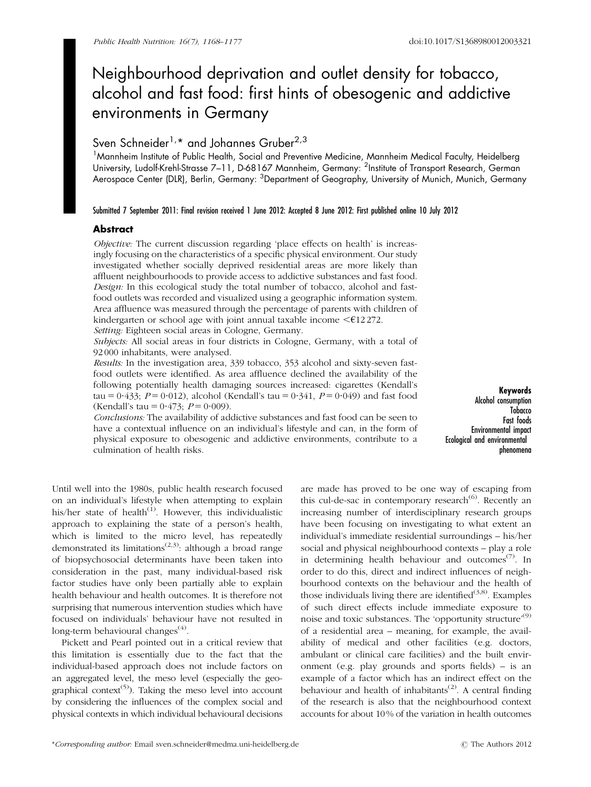# Neighbourhood deprivation and outlet density for tobacco, alcohol and fast food: first hints of obesogenic and addictive environments in Germany

# Sven Schneider<sup>1,\*</sup> and Johannes Gruber<sup>2,3</sup>

<sup>1</sup> Mannheim Institute of Public Health, Social and Preventive Medicine, Mannheim Medical Faculty, Heidelberg University, Ludolf-Krehl-Strasse 7–11, D-68167 Mannheim, Germany: <sup>2</sup>Institute of Transport Research, German Aerospace Center (DLR), Berlin, Germany: <sup>3</sup>Department of Geography, University of Munich, Munich, Germany

Submitted 7 September 2011: Final revision received 1 June 2012: Accepted 8 June 2012: First published online 10 July 2012

# **Abstract**

Objective: The current discussion regarding 'place effects on health' is increasingly focusing on the characteristics of a specific physical environment. Our study investigated whether socially deprived residential areas are more likely than affluent neighbourhoods to provide access to addictive substances and fast food. Design: In this ecological study the total number of tobacco, alcohol and fastfood outlets was recorded and visualized using a geographic information system. Area affluence was measured through the percentage of parents with children of kindergarten or school age with joint annual taxable income  $\leq \text{\textsterling}12\,272$ .

Setting: Eighteen social areas in Cologne, Germany.

Subjects: All social areas in four districts in Cologne, Germany, with a total of 92 000 inhabitants, were analysed.

Results: In the investigation area, 339 tobacco, 353 alcohol and sixty-seven fastfood outlets were identified. As area affluence declined the availability of the following potentially health damaging sources increased: cigarettes (Kendall's tau =  $0.433$ ; P =  $0.012$ ), alcohol (Kendall's tau =  $0.341$ , P =  $0.049$ ) and fast food (Kendall's tau =  $0.473$ ;  $P = 0.009$ ).

Conclusions: The availability of addictive substances and fast food can be seen to have a contextual influence on an individual's lifestyle and can, in the form of physical exposure to obesogenic and addictive environments, contribute to a culmination of health risks.

Keywords Alcohol consumption Tobacco Fast foods Environmental impact Ecological and environmental phenomena

Until well into the 1980s, public health research focused on an individual's lifestyle when attempting to explain his/her state of health $^{(1)}$  $^{(1)}$  $^{(1)}$ . However, this individualistic approach to explaining the state of a person's health, which is limited to the micro level, has repeatedly demonstrated its limitations<sup> $(2,3)$  $(2,3)$ </sup>: although a broad range of biopsychosocial determinants have been taken into consideration in the past, many individual-based risk factor studies have only been partially able to explain health behaviour and health outcomes. It is therefore not surprising that numerous intervention studies which have focused on individuals' behaviour have not resulted in long-term behavioural changes<sup> $(4)$  $(4)$  $(4)$ </sup>.

Pickett and Pearl pointed out in a critical review that this limitation is essentially due to the fact that the individual-based approach does not include factors on an aggregated level, the meso level (especially the geo-graphical context<sup>[\(5](#page-8-0))</sup>). Taking the meso level into account by considering the influences of the complex social and physical contexts in which individual behavioural decisions

are made has proved to be one way of escaping from this cul-de-sac in contemporary research $^{(6)}$  $^{(6)}$  $^{(6)}$ . Recently an increasing number of interdisciplinary research groups have been focusing on investigating to what extent an individual's immediate residential surroundings – his/her social and physical neighbourhood contexts – play a role in determining health behaviour and outcomes<sup> $(7)$  $(7)$  $(7)$ </sup>. In order to do this, direct and indirect influences of neighbourhood contexts on the behaviour and the health of those individuals living there are identified $(3,8)$  $(3,8)$ . Examples of such direct effects include immediate exposure to noise and toxic substances. The 'opportunity structure'<sup>([9](#page-8-0))</sup> of a residential area – meaning, for example, the availability of medical and other facilities (e.g. doctors, ambulant or clinical care facilities) and the built environment (e.g. play grounds and sports fields) – is an example of a factor which has an indirect effect on the behaviour and health of inhabitants<sup> $(2)$ </sup>. A central finding of the research is also that the neighbourhood context accounts for about 10% of the variation in health outcomes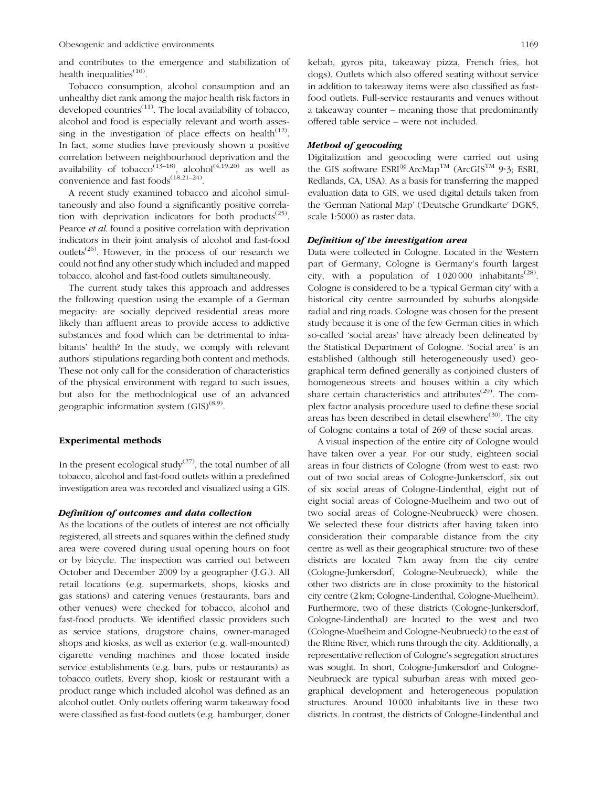and contributes to the emergence and stabilization of health inequalities $<sup>(10)</sup>$  $<sup>(10)</sup>$  $<sup>(10)</sup>$ .</sup>

Tobacco consumption, alcohol consumption and an unhealthy diet rank among the major health risk factors in developed countries $^{(11)}$  $^{(11)}$  $^{(11)}$ . The local availability of tobacco, alcohol and food is especially relevant and worth assessing in the investigation of place effects on health<sup> $(12)$  $(12)$ </sup>. In fact, some studies have previously shown a positive correlation between neighbourhood deprivation and the availability of tobacco<sup>(13-18)</sup>, alcohol<sup>[\(4](#page-8-0),[19,20\)](#page-8-0)</sup> as well as convenience and fast foods<sup>[\(18,21](#page-8-0)[–24](#page-9-0))</sup>.

A recent study examined tobacco and alcohol simultaneously and also found a significantly positive correlation with deprivation indicators for both products<sup> $(25)$  $(25)$ </sup>. Pearce et al. found a positive correlation with deprivation indicators in their joint analysis of alcohol and fast-food outlets<sup>[\(26\)](#page-9-0)</sup>. However, in the process of our research we could not find any other study which included and mapped tobacco, alcohol and fast-food outlets simultaneously.

The current study takes this approach and addresses the following question using the example of a German megacity: are socially deprived residential areas more likely than affluent areas to provide access to addictive substances and food which can be detrimental to inhabitants' health? In the study, we comply with relevant authors' stipulations regarding both content and methods. These not only call for the consideration of characteristics of the physical environment with regard to such issues, but also for the methodological use of an advanced geographic information system  $(GIS)^{(8,9)}$  $(GIS)^{(8,9)}$  $(GIS)^{(8,9)}$ .

## Experimental methods

In the present ecological study<sup>([27\)](#page-9-0)</sup>, the total number of all tobacco, alcohol and fast-food outlets within a predefined investigation area was recorded and visualized using a GIS.

#### Definition of outcomes and data collection

As the locations of the outlets of interest are not officially registered, all streets and squares within the defined study area were covered during usual opening hours on foot or by bicycle. The inspection was carried out between October and December 2009 by a geographer (J.G.). All retail locations (e.g. supermarkets, shops, kiosks and gas stations) and catering venues (restaurants, bars and other venues) were checked for tobacco, alcohol and fast-food products. We identified classic providers such as service stations, drugstore chains, owner-managed shops and kiosks, as well as exterior (e.g. wall-mounted) cigarette vending machines and those located inside service establishments (e.g. bars, pubs or restaurants) as tobacco outlets. Every shop, kiosk or restaurant with a product range which included alcohol was defined as an alcohol outlet. Only outlets offering warm takeaway food were classified as fast-food outlets (e.g. hamburger, doner kebab, gyros pita, takeaway pizza, French fries, hot dogs). Outlets which also offered seating without service in addition to takeaway items were also classified as fastfood outlets. Full-service restaurants and venues without a takeaway counter – meaning those that predominantly offered table service – were not included.

#### Method of geocoding

Digitalization and geocoding were carried out using the GIS software  $ESRI^{\circledR}$  ArcMap<sup>TM</sup> (ArcGIS<sup>TM</sup> 9.3; ESRI, Redlands, CA, USA). As a basis for transferring the mapped evaluation data to GIS, we used digital details taken from the 'German National Map' ('Deutsche Grundkarte' DGK5, scale 1:5000) as raster data.

#### Definition of the investigation area

Data were collected in Cologne. Located in the Western part of Germany, Cologne is Germany's fourth largest city, with a population of  $1\,020\,000$  inhabitants<sup>([28\)](#page-9-0)</sup>. Cologne is considered to be a 'typical German city' with a historical city centre surrounded by suburbs alongside radial and ring roads. Cologne was chosen for the present study because it is one of the few German cities in which so-called 'social areas' have already been delineated by the Statistical Department of Cologne. 'Social area' is an established (although still heterogeneously used) geographical term defined generally as conjoined clusters of homogeneous streets and houses within a city which share certain characteristics and attributes<sup> $(29)$  $(29)$ </sup>. The complex factor analysis procedure used to define these social areas has been described in detail elsewhere<sup>[\(30](#page-9-0))</sup>. The city of Cologne contains a total of 269 of these social areas.

A visual inspection of the entire city of Cologne would have taken over a year. For our study, eighteen social areas in four districts of Cologne (from west to east: two out of two social areas of Cologne-Junkersdorf, six out of six social areas of Cologne-Lindenthal, eight out of eight social areas of Cologne-Muelheim and two out of two social areas of Cologne-Neubrueck) were chosen. We selected these four districts after having taken into consideration their comparable distance from the city centre as well as their geographical structure: two of these districts are located 7km away from the city centre (Cologne-Junkersdorf, Cologne-Neubrueck), while the other two districts are in close proximity to the historical city centre (2km; Cologne-Lindenthal, Cologne-Muelheim). Furthermore, two of these districts (Cologne-Junkersdorf, Cologne-Lindenthal) are located to the west and two (Cologne-Muelheim and Cologne-Neubrueck) to the east of the Rhine River, which runs through the city. Additionally, a representative reflection of Cologne's segregation structures was sought. In short, Cologne-Junkersdorf and Cologne-Neubrueck are typical suburban areas with mixed geographical development and heterogeneous population structures. Around 10000 inhabitants live in these two districts. In contrast, the districts of Cologne-Lindenthal and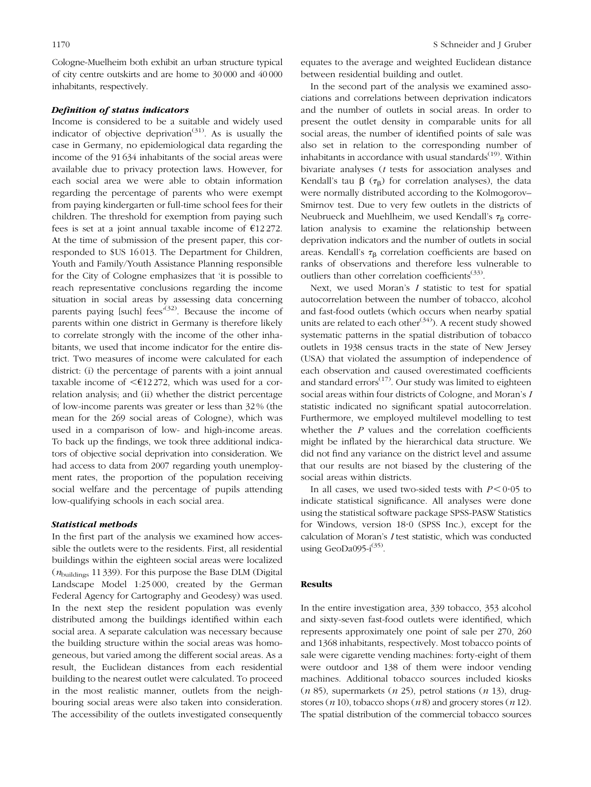Cologne-Muelheim both exhibit an urban structure typical of city centre outskirts and are home to 30000 and 40000 inhabitants, respectively.

## Definition of status indicators

Income is considered to be a suitable and widely used indicator of objective deprivation<sup> $(31)$  $(31)$ </sup>. As is usually the case in Germany, no epidemiological data regarding the income of the 91 634 inhabitants of the social areas were available due to privacy protection laws. However, for each social area we were able to obtain information regarding the percentage of parents who were exempt from paying kindergarten or full-time school fees for their children. The threshold for exemption from paying such fees is set at a joint annual taxable income of  $\epsilon$ 12 272. At the time of submission of the present paper, this corresponded to \$US 16 013. The Department for Children, Youth and Family/Youth Assistance Planning responsible for the City of Cologne emphasizes that 'it is possible to reach representative conclusions regarding the income situation in social areas by assessing data concerning parents paying [such] fees<sup> $(32)$  $(32)$ </sup>. Because the income of parents within one district in Germany is therefore likely to correlate strongly with the income of the other inhabitants, we used that income indicator for the entire district. Two measures of income were calculated for each district: (i) the percentage of parents with a joint annual taxable income of  $\leq \text{\textsterling}12 272$ , which was used for a correlation analysis; and (ii) whether the district percentage of low-income parents was greater or less than 32 % (the mean for the 269 social areas of Cologne), which was used in a comparison of low- and high-income areas. To back up the findings, we took three additional indicators of objective social deprivation into consideration. We had access to data from 2007 regarding youth unemployment rates, the proportion of the population receiving social welfare and the percentage of pupils attending low-qualifying schools in each social area.

# Statistical methods

In the first part of the analysis we examined how accessible the outlets were to the residents. First, all residential buildings within the eighteen social areas were localized  $(n_{\text{building}} 11 339)$ . For this purpose the Base DLM (Digital Landscape Model 1:25 000, created by the German Federal Agency for Cartography and Geodesy) was used. In the next step the resident population was evenly distributed among the buildings identified within each social area. A separate calculation was necessary because the building structure within the social areas was homogeneous, but varied among the different social areas. As a result, the Euclidean distances from each residential building to the nearest outlet were calculated. To proceed in the most realistic manner, outlets from the neighbouring social areas were also taken into consideration. The accessibility of the outlets investigated consequently

equates to the average and weighted Euclidean distance between residential building and outlet.

In the second part of the analysis we examined associations and correlations between deprivation indicators and the number of outlets in social areas. In order to present the outlet density in comparable units for all social areas, the number of identified points of sale was also set in relation to the corresponding number of inhabitants in accordance with usual standards<sup>[\(19](#page-8-0))</sup>. Within bivariate analyses (t tests for association analyses and Kendall's tau  $\beta$  ( $\tau_B$ ) for correlation analyses), the data were normally distributed according to the Kolmogorov– Smirnov test. Due to very few outlets in the districts of Neubrueck and Muehlheim, we used Kendall's  $\tau_\beta$  correlation analysis to examine the relationship between deprivation indicators and the number of outlets in social areas. Kendall's  $\tau_\beta$  correlation coefficients are based on ranks of observations and therefore less vulnerable to outliers than other correlation coefficients<sup> $(33)$  $(33)$ </sup>.

Next, we used Moran's I statistic to test for spatial autocorrelation between the number of tobacco, alcohol and fast-food outlets (which occurs when nearby spatial units are related to each other<sup> $(34)$  $(34)$ </sup>). A recent study showed systematic patterns in the spatial distribution of tobacco outlets in 1938 census tracts in the state of New Jersey (USA) that violated the assumption of independence of each observation and caused overestimated coefficients and standard  $\arccos^{(17)}$  $\arccos^{(17)}$  $\arccos^{(17)}$ . Our study was limited to eighteen social areas within four districts of Cologne, and Moran's I statistic indicated no significant spatial autocorrelation. Furthermore, we employed multilevel modelling to test whether the  $P$  values and the correlation coefficients might be inflated by the hierarchical data structure. We did not find any variance on the district level and assume that our results are not biased by the clustering of the social areas within districts.

In all cases, we used two-sided tests with  $P < 0.05$  to indicate statistical significance. All analyses were done using the statistical software package SPSS-PASW Statistics for Windows, version 18?0 (SPSS Inc.), except for the calculation of Moran's I test statistic, which was conducted using GeoDa095-i $^{(35)}$  $^{(35)}$  $^{(35)}$ .

#### Results

In the entire investigation area, 339 tobacco, 353 alcohol and sixty-seven fast-food outlets were identified, which represents approximately one point of sale per 270, 260 and 1368 inhabitants, respectively. Most tobacco points of sale were cigarette vending machines: forty-eight of them were outdoor and 138 of them were indoor vending machines. Additional tobacco sources included kiosks  $(n 85)$ , supermarkets  $(n 25)$ , petrol stations  $(n 13)$ , drugstores  $(n 10)$ , tobacco shops  $(n 8)$  and grocery stores  $(n 12)$ . The spatial distribution of the commercial tobacco sources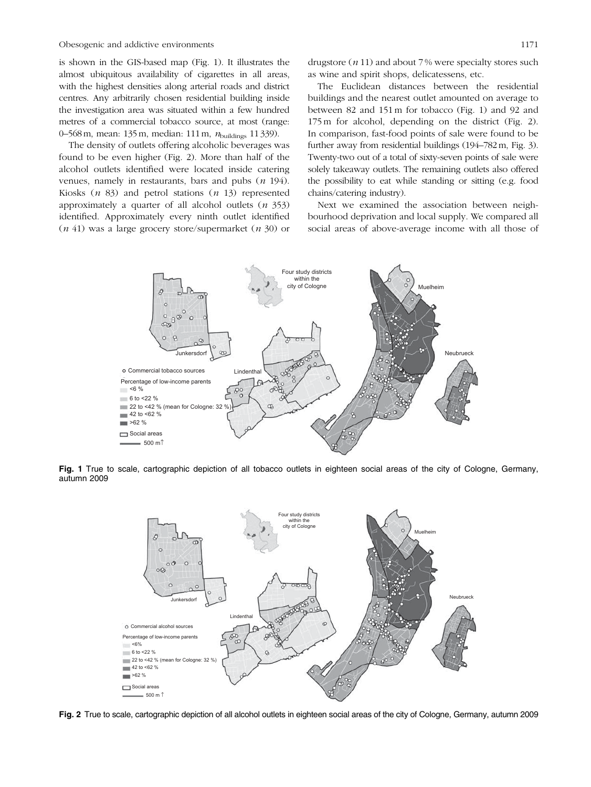is shown in the GIS-based map (Fig. 1). It illustrates the almost ubiquitous availability of cigarettes in all areas, with the highest densities along arterial roads and district centres. Any arbitrarily chosen residential building inside the investigation area was situated within a few hundred metres of a commercial tobacco source, at most (range: 0–568 m, mean: 135 m, median: 111 m,  $n_{\text{building}}$  11339).

The density of outlets offering alcoholic beverages was found to be even higher (Fig. 2). More than half of the alcohol outlets identified were located inside catering venues, namely in restaurants, bars and pubs  $(n \ 194)$ . Kiosks  $(n 83)$  and petrol stations  $(n 13)$  represented approximately a quarter of all alcohol outlets  $(n, 353)$ identified. Approximately every ninth outlet identified  $(n 41)$  was a large grocery store/supermarket  $(n 30)$  or drugstore  $(n 11)$  and about 7% were specialty stores such as wine and spirit shops, delicatessens, etc.

The Euclidean distances between the residential buildings and the nearest outlet amounted on average to between 82 and 151 m for tobacco (Fig. 1) and 92 and 175 m for alcohol, depending on the district (Fig. 2). In comparison, fast-food points of sale were found to be further away from residential buildings (194–782m, [Fig. 3](#page-4-0)). Twenty-two out of a total of sixty-seven points of sale were solely takeaway outlets. The remaining outlets also offered the possibility to eat while standing or sitting (e.g. food chains/catering industry).

Next we examined the association between neighbourhood deprivation and local supply. We compared all social areas of above-average income with all those of



Fig. 1 True to scale, cartographic depiction of all tobacco outlets in eighteen social areas of the city of Cologne, Germany, autumn 2009



Fig. 2 True to scale, cartographic depiction of all alcohol outlets in eighteen social areas of the city of Cologne, Germany, autumn 2009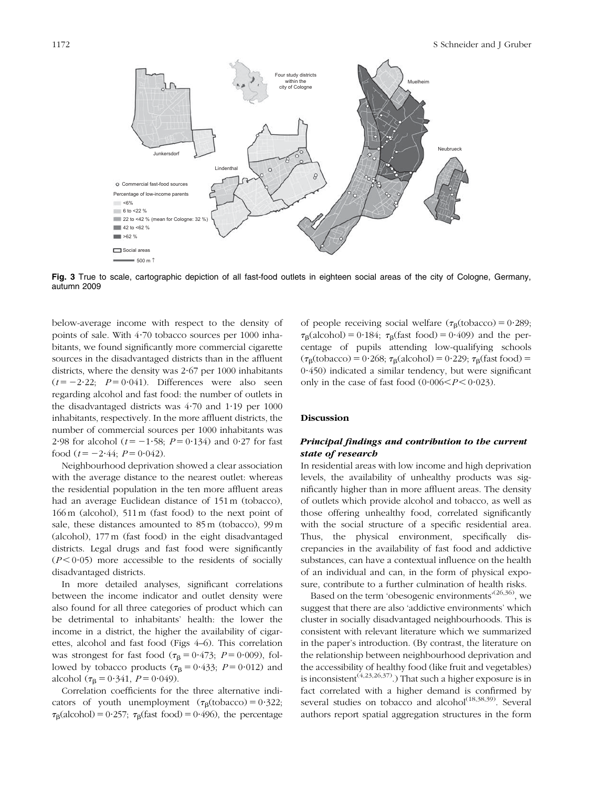<span id="page-4-0"></span>

Fig. 3 True to scale, cartographic depiction of all fast-food outlets in eighteen social areas of the city of Cologne, Germany, autumn 2009

below-average income with respect to the density of points of sale. With 4?70 tobacco sources per 1000 inhabitants, we found significantly more commercial cigarette sources in the disadvantaged districts than in the affluent districts, where the density was  $2.67$  per 1000 inhabitants  $(t = -2.22; P = 0.041)$ . Differences were also seen regarding alcohol and fast food: the number of outlets in the disadvantaged districts was  $4\cdot 70$  and  $1\cdot 19$  per 1000 inhabitants, respectively. In the more affluent districts, the number of commercial sources per 1000 inhabitants was 2.98 for alcohol ( $t = -1.58$ ;  $P = 0.134$ ) and 0.27 for fast food  $(t = -2.44; P = 0.042)$ .

Neighbourhood deprivation showed a clear association with the average distance to the nearest outlet: whereas the residential population in the ten more affluent areas had an average Euclidean distance of 151 m (tobacco), 166 m (alcohol), 511 m (fast food) to the next point of sale, these distances amounted to 85 m (tobacco), 99 m (alcohol), 177 m (fast food) in the eight disadvantaged districts. Legal drugs and fast food were significantly  $(P < 0.05)$  more accessible to the residents of socially disadvantaged districts.

In more detailed analyses, significant correlations between the income indicator and outlet density were also found for all three categories of product which can be detrimental to inhabitants' health: the lower the income in a district, the higher the availability of cigarettes, alcohol and fast food [\(Figs 4](#page-5-0)[–6\)](#page-7-0). This correlation was strongest for fast food  $(\tau_{\beta} = 0.473; P = 0.009)$ , followed by tobacco products ( $\tau_\beta = 0.433$ ;  $P = 0.012$ ) and alcohol ( $\tau_{\beta} = 0.341$ ,  $P = 0.049$ ).

Correlation coefficients for the three alternative indicators of youth unemployment  $(\tau_{\beta}(\text{tobacco}) = 0.322)$ ;  $\tau_{\beta}(\text{alcohol}) = 0.257$ ;  $\tau_{\beta}(\text{fast food}) = 0.496$ ), the percentage

of people receiving social welfare  $(\tau_\beta$ (tobacco) = 0.289;  $\tau_{\beta}(\text{alcohol}) = 0.184$ ;  $\tau_{\beta}(\text{fast food}) = 0.409$ ) and the percentage of pupils attending low-qualifying schools  $(\tau_{\beta}(\text{tobacco}) = 0.268; \tau_{\beta}(\text{alcohol}) = 0.229; \tau_{\beta}(\text{fast food}) =$ 0?450) indicated a similar tendency, but were significant only in the case of fast food  $(0.006 < P < 0.023)$ .

#### Discussion

# Principal findings and contribution to the current state of research

In residential areas with low income and high deprivation levels, the availability of unhealthy products was significantly higher than in more affluent areas. The density of outlets which provide alcohol and tobacco, as well as those offering unhealthy food, correlated significantly with the social structure of a specific residential area. Thus, the physical environment, specifically discrepancies in the availability of fast food and addictive substances, can have a contextual influence on the health of an individual and can, in the form of physical exposure, contribute to a further culmination of health risks.

Based on the term 'obesogenic environments'<sup>[\(26,36](#page-9-0))</sup>, we suggest that there are also 'addictive environments' which cluster in socially disadvantaged neighbourhoods. This is consistent with relevant literature which we summarized in the paper's introduction. (By contrast, the literature on the relationship between neighbourhood deprivation and the accessibility of healthy food (like fruit and vegetables) is inconsistent<sup> $(4,23,26,37)$  $(4,23,26,37)$ </sup>.) That such a higher exposure is in fact correlated with a higher demand is confirmed by several studies on tobacco and alcohol<sup>[\(18](#page-8-0)[,38,39](#page-9-0))</sup>. Several authors report spatial aggregation structures in the form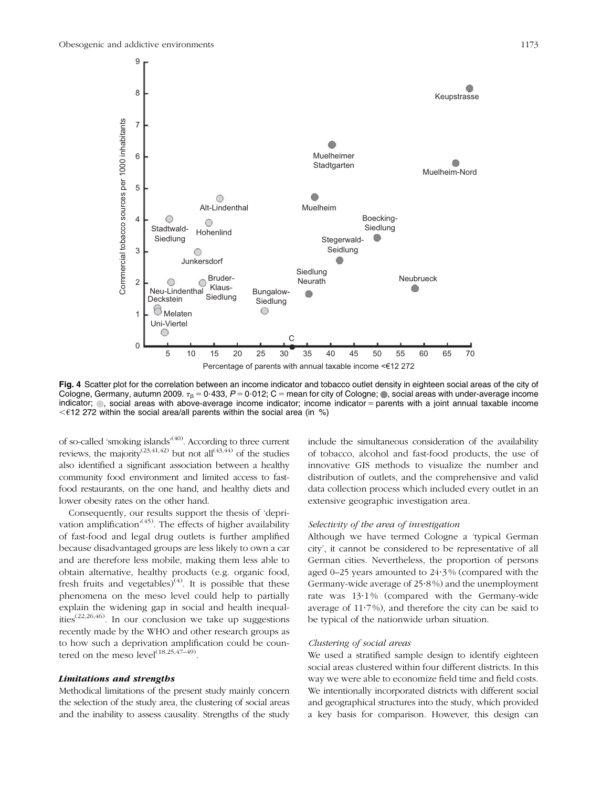<span id="page-5-0"></span>

Fig. 4 Scatter plot for the correlation between an income indicator and tobacco outlet density in eighteen social areas of the city of Cologne, Germany, autumn 2009.  $\tau_\beta$  = 0.433, P = 0.012; C = mean for city of Cologne; o, social areas with under-average income indicator;  $\circ$ , social areas with above-average income indicator; income indicator = parents with a joint annual taxable income < $612$  272 within the social area/all parents within the social area (in %)

of so-called 'smoking islands'[\(40](#page-9-0)). According to three current reviews, the majority<sup>[\(23,41,42\)](#page-9-0)</sup> but not all<sup>[\(43,44](#page-9-0))</sup> of the studies also identified a significant association between a healthy community food environment and limited access to fastfood restaurants, on the one hand, and healthy diets and lower obesity rates on the other hand.

Consequently, our results support the thesis of 'deprivation amplification<sup> $(45)$  $(45)$ </sup>. The effects of higher availability of fast-food and legal drug outlets is further amplified because disadvantaged groups are less likely to own a car and are therefore less mobile, making them less able to obtain alternative, healthy products (e.g. organic food, fresh fruits and vegetables)<sup>([4](#page-8-0))</sup>. It is possible that these phenomena on the meso level could help to partially explain the widening gap in social and health inequalities<sup> $(22,26,46)$  $(22,26,46)$ </sup>. In our conclusion we take up suggestions recently made by the WHO and other research groups as to how such a deprivation amplification could be countered on the meso  $level^{(18,25,47-49)}$  $level^{(18,25,47-49)}$  $level^{(18,25,47-49)}$  $level^{(18,25,47-49)}$  $level^{(18,25,47-49)}$  $level^{(18,25,47-49)}$ .

#### Limitations and strengths

Methodical limitations of the present study mainly concern the selection of the study area, the clustering of social areas and the inability to assess causality. Strengths of the study include the simultaneous consideration of the availability of tobacco, alcohol and fast-food products, the use of innovative GIS methods to visualize the number and distribution of outlets, and the comprehensive and valid data collection process which included every outlet in an extensive geographic investigation area.

# Selectivity of the area of investigation

Although we have termed Cologne a 'typical German city', it cannot be considered to be representative of all German cities. Nevertheless, the proportion of persons aged  $0-25$  years amounted to  $24.3\%$  (compared with the Germany-wide average of 25?8 %) and the unemployment rate was 13.1% (compared with the Germany-wide average of  $11·7$ %), and therefore the city can be said to be typical of the nationwide urban situation.

#### Clustering of social areas

We used a stratified sample design to identify eighteen social areas clustered within four different districts. In this way we were able to economize field time and field costs. We intentionally incorporated districts with different social and geographical structures into the study, which provided a key basis for comparison. However, this design can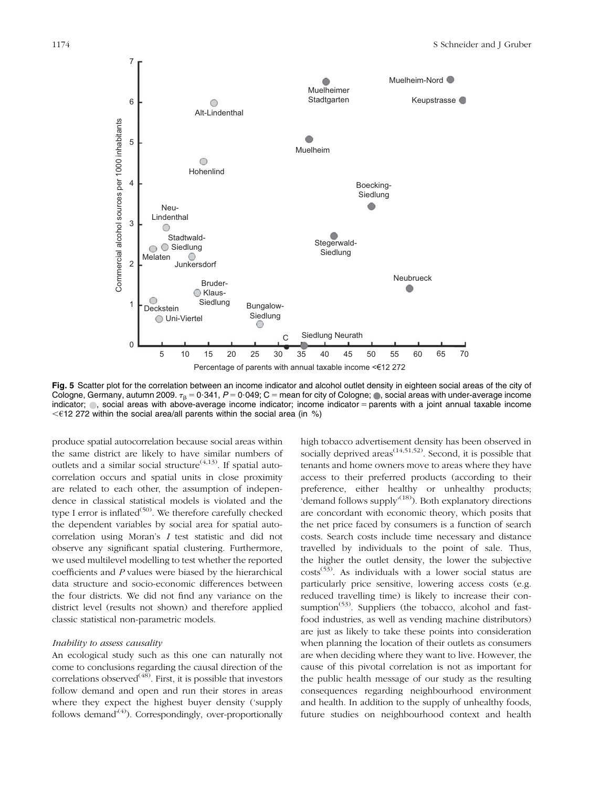

Fig. 5 Scatter plot for the correlation between an income indicator and alcohol outlet density in eighteen social areas of the city of Cologne, Germany, autumn 2009.  $\tau_8 = 0.341$ ,  $P = 0.049$ ; C = mean for city of Cologne; o, social areas with under-average income indicator;  $\cap$ , social areas with above-average income indicator; income indicator = parents with a joint annual taxable income < $612$  272 within the social area/all parents within the social area (in %)

produce spatial autocorrelation because social areas within the same district are likely to have similar numbers of outlets and a similar social structure<sup> $(4,13)$ </sup>. If spatial autocorrelation occurs and spatial units in close proximity are related to each other, the assumption of independence in classical statistical models is violated and the type I error is inflated<sup>[\(50](#page-9-0))</sup>. We therefore carefully checked the dependent variables by social area for spatial autocorrelation using Moran's I test statistic and did not observe any significant spatial clustering. Furthermore, we used multilevel modelling to test whether the reported coefficients and P values were biased by the hierarchical data structure and socio-economic differences between the four districts. We did not find any variance on the district level (results not shown) and therefore applied classic statistical non-parametric models.

#### Inability to assess causality

An ecological study such as this one can naturally not come to conclusions regarding the causal direction of the correlations observed<sup> $(48)$  $(48)$ </sup>. First, it is possible that investors follow demand and open and run their stores in areas where they expect the highest buyer density ('supply follows demand<sup>[\(4\)](#page-8-0)</sup>). Correspondingly, over-proportionally

high tobacco advertisement density has been observed in socially deprived  $\arccos^{(14,51,52)}$  $\arccos^{(14,51,52)}$  $\arccos^{(14,51,52)}$  $\arccos^{(14,51,52)}$ . Second, it is possible that tenants and home owners move to areas where they have access to their preferred products (according to their preference, either healthy or unhealthy products; 'demand follows supply<sup> $(18)$  $(18)$ </sup>). Both explanatory directions are concordant with economic theory, which posits that the net price faced by consumers is a function of search costs. Search costs include time necessary and distance travelled by individuals to the point of sale. Thus, the higher the outlet density, the lower the subjective costs([53\)](#page-9-0). As individuals with a lower social status are particularly price sensitive, lowering access costs (e.g. reduced travelling time) is likely to increase their consumption<sup> $(53)$  $(53)$ </sup>. Suppliers (the tobacco, alcohol and fastfood industries, as well as vending machine distributors) are just as likely to take these points into consideration when planning the location of their outlets as consumers are when deciding where they want to live. However, the cause of this pivotal correlation is not as important for the public health message of our study as the resulting consequences regarding neighbourhood environment and health. In addition to the supply of unhealthy foods, future studies on neighbourhood context and health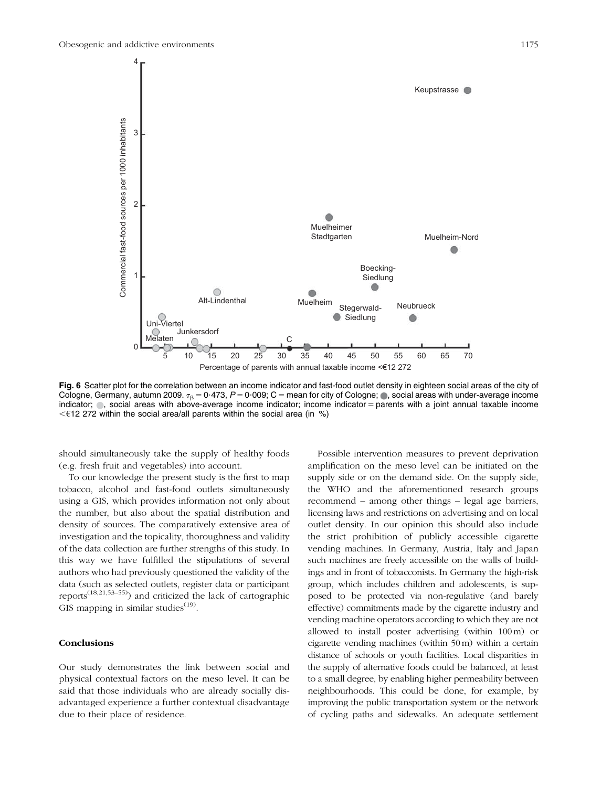<span id="page-7-0"></span>

Fig. 6 Scatter plot for the correlation between an income indicator and fast-food outlet density in eighteen social areas of the city of Cologne, Germany, autumn 2009.  $\tau_\text{B} = 0.473$ , P = 0.009; C = mean for city of Cologne; o, social areas with under-average income indicator;  $\circ$ , social areas with above-average income indicator; income indicator = parents with a joint annual taxable income < $612$  272 within the social area/all parents within the social area (in %)

should simultaneously take the supply of healthy foods (e.g. fresh fruit and vegetables) into account.

To our knowledge the present study is the first to map tobacco, alcohol and fast-food outlets simultaneously using a GIS, which provides information not only about the number, but also about the spatial distribution and density of sources. The comparatively extensive area of investigation and the topicality, thoroughness and validity of the data collection are further strengths of this study. In this way we have fulfilled the stipulations of several authors who had previously questioned the validity of the data (such as selected outlets, register data or participant reports<sup> $(18,21,53-55)$  $(18,21,53-55)$  $(18,21,53-55)$ </sup>) and criticized the lack of cartographic GIS mapping in similar studies $(19)$  $(19)$ .

#### **Conclusions**

Our study demonstrates the link between social and physical contextual factors on the meso level. It can be said that those individuals who are already socially disadvantaged experience a further contextual disadvantage due to their place of residence.

Possible intervention measures to prevent deprivation amplification on the meso level can be initiated on the supply side or on the demand side. On the supply side, the WHO and the aforementioned research groups recommend – among other things – legal age barriers, licensing laws and restrictions on advertising and on local outlet density. In our opinion this should also include the strict prohibition of publicly accessible cigarette vending machines. In Germany, Austria, Italy and Japan such machines are freely accessible on the walls of buildings and in front of tobacconists. In Germany the high-risk group, which includes children and adolescents, is supposed to be protected via non-regulative (and barely effective) commitments made by the cigarette industry and vending machine operators according to which they are not allowed to install poster advertising (within 100m) or cigarette vending machines (within 50m) within a certain distance of schools or youth facilities. Local disparities in the supply of alternative foods could be balanced, at least to a small degree, by enabling higher permeability between neighbourhoods. This could be done, for example, by improving the public transportation system or the network of cycling paths and sidewalks. An adequate settlement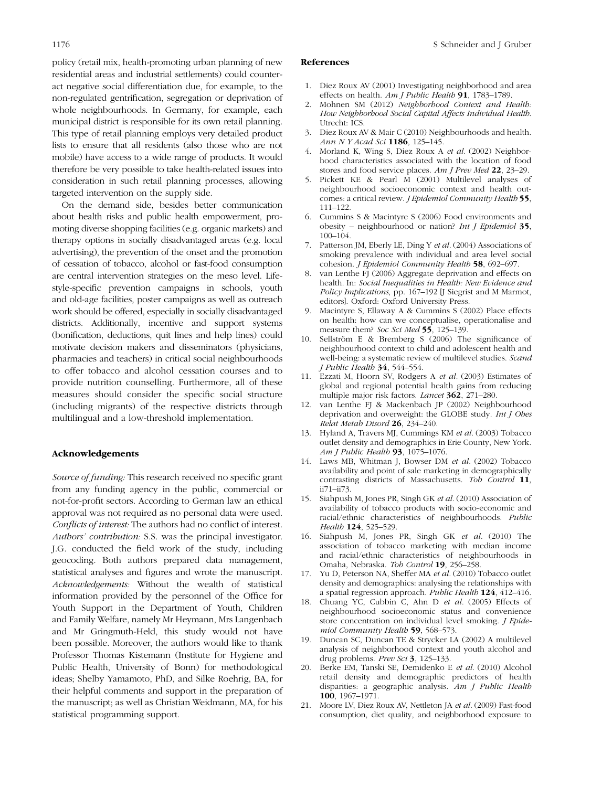<span id="page-8-0"></span>policy (retail mix, health-promoting urban planning of new residential areas and industrial settlements) could counteract negative social differentiation due, for example, to the non-regulated gentrification, segregation or deprivation of whole neighbourhoods. In Germany, for example, each municipal district is responsible for its own retail planning. This type of retail planning employs very detailed product lists to ensure that all residents (also those who are not mobile) have access to a wide range of products. It would therefore be very possible to take health-related issues into consideration in such retail planning processes, allowing targeted intervention on the supply side.

On the demand side, besides better communication about health risks and public health empowerment, promoting diverse shopping facilities (e.g. organic markets) and therapy options in socially disadvantaged areas (e.g. local advertising), the prevention of the onset and the promotion of cessation of tobacco, alcohol or fast-food consumption are central intervention strategies on the meso level. Lifestyle-specific prevention campaigns in schools, youth and old-age facilities, poster campaigns as well as outreach work should be offered, especially in socially disadvantaged districts. Additionally, incentive and support systems (bonification, deductions, quit lines and help lines) could motivate decision makers and disseminators (physicians, pharmacies and teachers) in critical social neighbourhoods to offer tobacco and alcohol cessation courses and to provide nutrition counselling. Furthermore, all of these measures should consider the specific social structure (including migrants) of the respective districts through multilingual and a low-threshold implementation.

#### Acknowledgements

Source of funding: This research received no specific grant from any funding agency in the public, commercial or not-for-profit sectors. According to German law an ethical approval was not required as no personal data were used. Conflicts of interest: The authors had no conflict of interest. Authors' contribution: S.S. was the principal investigator. J.G. conducted the field work of the study, including geocoding. Both authors prepared data management, statistical analyses and figures and wrote the manuscript. Acknowledgements: Without the wealth of statistical information provided by the personnel of the Office for Youth Support in the Department of Youth, Children and Family Welfare, namely Mr Heymann, Mrs Langenbach and Mr Gringmuth-Held, this study would not have been possible. Moreover, the authors would like to thank Professor Thomas Kistemann (Institute for Hygiene and Public Health, University of Bonn) for methodological ideas; Shelby Yamamoto, PhD, and Silke Roehrig, BA, for their helpful comments and support in the preparation of the manuscript; as well as Christian Weidmann, MA, for his statistical programming support.

#### References

- 1. Diez Roux AV (2001) Investigating neighborhood and area effects on health. Am J Public Health 91, 1783-1789.
- 2. Mohnen SM (2012) Neighborhood Context and Health: How Neighborhood Social Capital Affects Individual Health. Utrecht: ICS.
- 3. Diez Roux AV & Mair C (2010) Neighbourhoods and health. Ann N Y Acad Sci 1186, 125–145.
- Morland K, Wing S, Diez Roux A et al. (2002) Neighborhood characteristics associated with the location of food stores and food service places. Am J Prev Med 22, 23–29.
- 5. Pickett KE & Pearl M (2001) Multilevel analyses of neighbourhood socioeconomic context and health outcomes: a critical review. J Epidemiol Community Health 55, 111–122.
- 6. Cummins S & Macintyre S (2006) Food environments and obesity – neighbourhood or nation? Int J Epidemiol 35, 100–104.
- 7. Patterson JM, Eberly LE, Ding Y et al. (2004) Associations of smoking prevalence with individual and area level social cohesion. J Epidemiol Community Health 58, 692–697.
- 8. van Lenthe FJ (2006) Aggregate deprivation and effects on health. In: Social Inequalities in Health: New Evidence and Policy Implications, pp. 167–192 [J Siegrist and M Marmot, editors]. Oxford: Oxford University Press.
- 9. Macintyre S, Ellaway A & Cummins S (2002) Place effects on health: how can we conceptualise, operationalise and measure them? Soc Sci Med 55, 125-139.
- 10. Sellström E & Bremberg S (2006) The significance of neighbourhood context to child and adolescent health and well-being: a systematic review of multilevel studies. Scand J Public Health 34, 544–554.
- 11. Ezzati M, Hoorn SV, Rodgers A et al. (2003) Estimates of global and regional potential health gains from reducing multiple major risk factors. Lancet 362, 271–280.
- 12. van Lenthe FJ & Mackenbach JP (2002) Neighbourhood deprivation and overweight: the GLOBE study. Int J Obes Relat Metab Disord 26, 234–240.
- 13. Hyland A, Travers MJ, Cummings KM et al. (2003) Tobacco outlet density and demographics in Erie County, New York. Am J Public Health  $93$ , 1075-1076.
- 14. Laws MB, Whitman J, Bowser DM et al. (2002) Tobacco availability and point of sale marketing in demographically contrasting districts of Massachusetts. Tob Control 11, ii71–ii73.
- 15. Siahpush M, Jones PR, Singh GK et al. (2010) Association of availability of tobacco products with socio-economic and racial/ethnic characteristics of neighbourhoods. Public Health 124, 525–529.
- 16. Siahpush M, Jones PR, Singh GK et al. (2010) The association of tobacco marketing with median income and racial/ethnic characteristics of neighbourhoods in Omaha, Nebraska. Tob Control 19, 256–258.
- 17. Yu D, Peterson NA, Sheffer MA et al. (2010) Tobacco outlet density and demographics: analysing the relationships with a spatial regression approach. Public Health 124, 412–416.
- 18. Chuang YC, Cubbin C, Ahn D et al. (2005) Effects of neighbourhood socioeconomic status and convenience store concentration on individual level smoking. *J Epide*miol Community Health 59, 568–573.
- 19. Duncan SC, Duncan TE & Strycker LA (2002) A multilevel analysis of neighborhood context and youth alcohol and drug problems. Prev Sci 3, 125-133.
- 20. Berke EM, Tanski SE, Demidenko E et al. (2010) Alcohol retail density and demographic predictors of health disparities: a geographic analysis. Am J Public Health 100, 1967–1971.
- 21. Moore LV, Diez Roux AV, Nettleton JA et al. (2009) Fast-food consumption, diet quality, and neighborhood exposure to